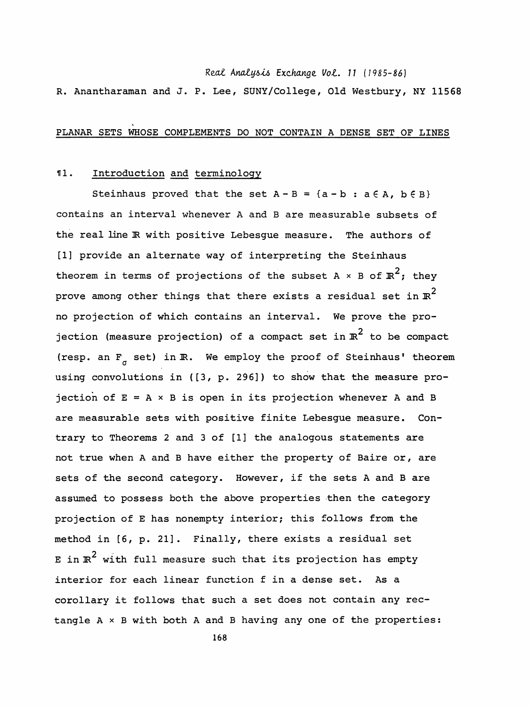Real Analysis Exchange Vol. 11 (1985-86)

R. Anantharaman and J. P. Lee, SUNY/College, Old Westbury, NY 11568

## ' PLANAR SETS WHOSE COMPLEMENTS DO NOT CONTAIN A DENSE SET OF LINES

## 11. Introduction and terminology

Steinhaus proved that the set  $A - B = \{a - b : a \in A, b \in B\}$  contains an interval whenever A and B are measurable subsets of the real line IR with positive Lebesgue measure. The authors of [1] provide an alternate way of interpreting the Steinhaus theorem in terms of projections of the subset A  $\times$  B of  $\mathbb{R}^2$ ; they prove among other things that there exists a residual set in  $\mathbb{R}^2$  no projection of which contains an interval. We prove the pro jection (measure projection) of a compact set in  $\mathbb{R}^2$  to be compact (resp. an  $F_{\sigma}$  set) in  $\mathbb{R}$ . We employ the proof of Steinhaus' theorem using convolutions in ([3, p. 296]) to show that the measure pro jection of  $E = A \times B$  is open in its projection whenever A and B are measurable sets with positive finite Lebesgue measure. Con trary to Theorems 2 and 3 of [1] the analogous statements are not true when A and B have either the property of Baire or, are sets of the second category. However, if the sets A and B are assumed to possess both the above properties then the category projection of E has nonempty interior; this follows from the method in [6, p. 21] . Finally, there exists a residual set E in  $\mathbb{R}^2$  with full measure such that its projection has empty interior for each linear function f in a dense set. As a corollary it follows that such a set does not contain any rec tangle  $A \times B$  with both A and B having any one of the properties: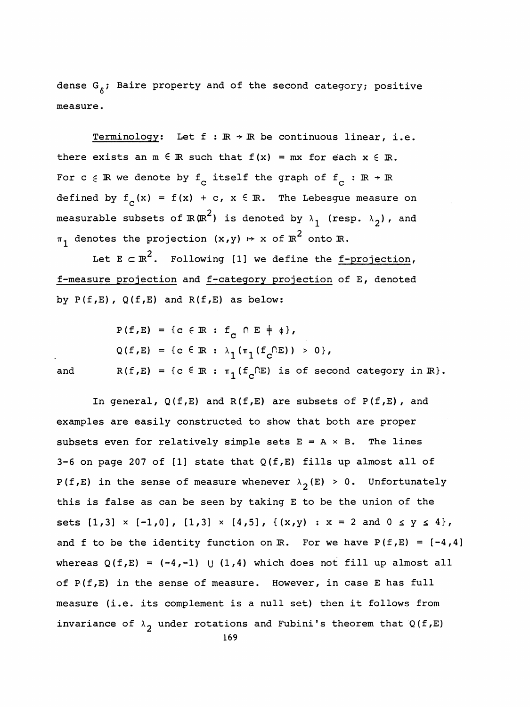dense  $G_{\hat{\delta}}$ ; Baire property and of the second category; positive measure.

Terminology: Let  $f : \mathbb{R} \rightarrow \mathbb{R}$  be continuous linear, i.e. there exists an  $m \in \mathbb{R}$  such that  $f(x) = mx$  for each  $x \in \mathbb{R}$ . dense  $G_{\delta}$ ; Baire property and of the second category; positive<br>measure.<br>Terminology: Let  $f : \mathbb{R} \to \mathbb{R}$  be continuous linear, i.e.<br>there exists an  $\mathbb{R} \in \mathbb{R}$  such that  $f(x) = \mathbb{R} x$  for each  $x \in \mathbb{R}$ .<br>For For c  $\in \mathbb{R}$  we denote by  $f_c$  itself the graph of  $f_c : \mathbb{R} \to \mathbb{R}$ <br>defined by  $f_c(x) = f(x) + c$ ,  $x \in \mathbb{R}$ . The Lebesgue measure on 2 measurable subsets of 2 $\mu$ , is denoted by  $\frac{1}{2}$  2  $T$  denotes the projection  $\langle n \rangle$ 

Let  $E \subset \mathbb{R}^2$ . Following [1] we define the <u>f-projection</u>, f-measure projection and f-category projection of E, denoted by  $P(f, E)$ ,  $Q(f, E)$  and  $R(f, E)$  as below:

 $P(f, E) = {c \in \mathbb{R} : f_c \cap E \neq \emptyset},$  $Q(f, E) = \{c \in \mathbb{R} : \lambda_1(\pi_1(f_c \cap E)) > 0\},$ and  $R(f, E) = {c \in \mathbb{R} : \pi_1(f_c \cap E) \text{ is of second category in } \mathbb{R}}.$ 

In general,  $Q(f, E)$  and  $R(f, E)$  are subsets of  $P(f, E)$ , and examples are easily constructed to show that both are proper subsets even for relatively simple sets  $E = A \times B$ . The lines 3-6 on page 207 of [1] state that  $Q(f, E)$  fills up almost all of P(f,E) in the sense of measure whenever  $\lambda_2(E) > 0$ . Unfortunately this is false as can be seen by taking E to be the union of the sets  $[1,3] \times [-1,0]$ ,  $[1,3] \times [4,5]$ ,  $\{(x,y) : x = 2 \text{ and } 0 \le y \le 4\}$ , and f to be the identity function on  $\mathbb{R}$ . For we have  $P(f, E) = [-4, 4]$ whereas  $Q(f, E) = (-4, -1)$  U (1,4) which does not fill up almost all of  $P(f, E)$  in the sense of measure. However, in case E has full measure (i.e. its complement is a null set) then it follows from invariance of  $\lambda_2$  under rotations and Fubini's theorem that Q(f,E)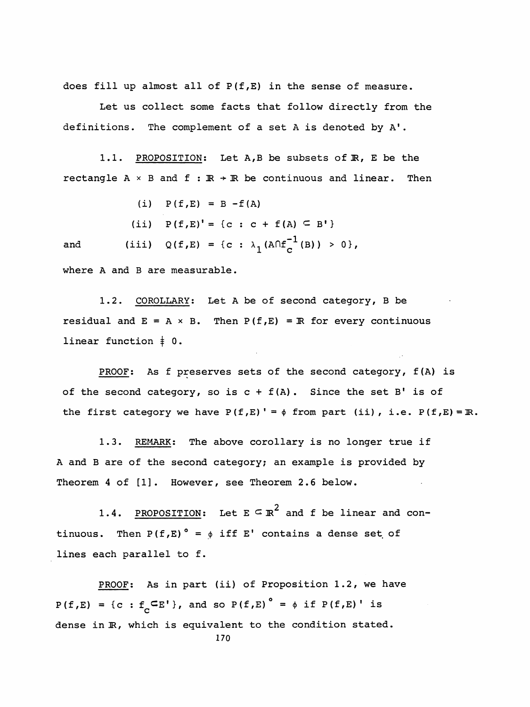does fill up almost all of P(f,E) in the sense of measure.

 Let us collect some facts that follow directly from the definitions. The complement of a set A is denoted by A'.

1.1. PROPOSITION: Let A,B be subsets of R, E be the rectangle A  $\times$  B and f :  $\mathbb{R}$  +  $\mathbb{R}$  be continuous and linear. Then

(i)  $P(f,E) = B - f(A)$ 

(ii)  $P(f,E)' = \{c : c + f(A) \subseteq B' \}$ 

and (iii)  $Q(f, E) = {c : \lambda_1 (A \cap f_C^{-1}(B)) > 0},$ 

where A and B are measurable.

1.2. COROLLARY: Let A be of second category, B be residual and  $E = A \times B$ . Then  $P(f, E) = \mathbb{R}$  for every continuous linear function  $\ddagger$  0.

PROOF: As f preserves sets of the second category, f(A) is of the second category, so is  $c + f(A)$ . Since the set B' is of the first category we have  $P(f,E)' = \phi$  from part (ii), i.e.  $P(f,E) = \mathbb{R}$ .

1.3. REMARK: The above corollary is no longer true if A and B are of the second category; an example is provided by Theorem 4 of [1]. However, see Theorem 2.6 below.

1.4. PROPOSITION: Let  $E \subseteq \mathbb{R}^2$  and f be linear and continuous. Then  $P(f, E)$ <sup>°</sup> =  $\phi$  iff E' contains a dense set of lines each parallel to f.

PROOF: As in part (ii) of Proposition 1.2, we have  $P(f,E) = {c : f_c \subseteq E'}$ , and so  $P(f,E)$ <sup>o</sup> =  $\phi$  if  $P(f,E)$ <sup>'</sup> is dense in  $\mathbb R$ , which is equivalent to the condition stated. 170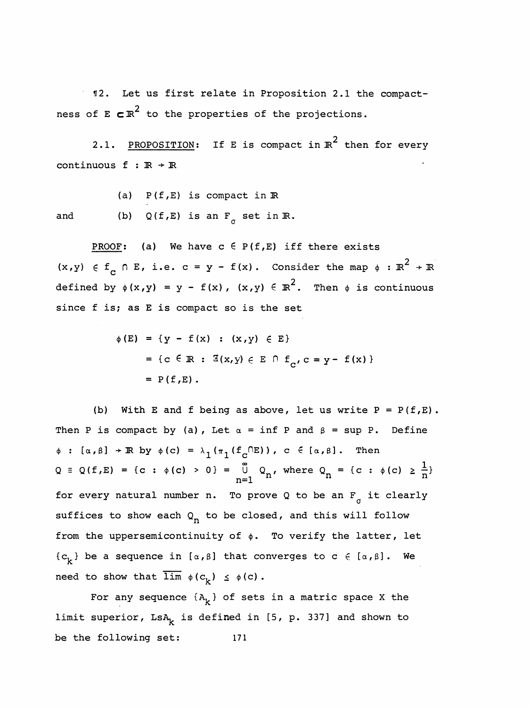112. Let us first relate in Proposition 2.1 the compact ness of E  $\texttt{c} \mathbb{R}^2$  to the properties of the projections.

2.1. PROPOSITION: If E is compact in  $\mathbb{R}^2$  then for every continuous  $f : \mathbb{R} \rightarrow \mathbb{R}$ 

(a)  $P(f, E)$  is compact in  $\mathbb R$ and (b)  $Q(f, E)$  is an  $F_{\sigma}$  set in  $\mathbb{R}$ .

PROOF: (a) We have  $c \in P(f, E)$  iff there exists  $(x,y) \in f_{\overline{C}} \cap E$ , i.e.  $c = y - f(x)$ . Consider the map  $\phi : \mathbb{R}^2 \to \mathbb{R}$ defined by  $\phi(x,y) = y - f(x)$ ,  $(x,y) \in \mathbb{R}^2$ . Then  $\phi$  is continuous since f is; as E is compact so is the set

$$
\phi(E) = \{y - f(x) : (x, y) \in E\}
$$
  
= {c \in \mathbb{R} :  $\mathbb{E}(x, y) \in E \cap f_c, c = y - f(x) \}$   
= P(f, E).

(b) With E and f being as above, let us write  $P = P(f, E)$ . Then P is compact by (a), Let  $\alpha = \inf P$  and  $\beta = \sup P$ . Define  $\phi : [\alpha, \beta] \rightarrow \mathbb{R}$  by  $\phi(c) = \lambda_1(\pi_1(f_c \cap E))$ ,  $c \in [\alpha, \beta]$ . Then  $Q = Q(f, E) = \{c : \phi(c) > 0\} = \overline{U} \quad Q_n$ , where  $Q_n = \{c : \phi(c) \ge c\}$  $f_c^{(DE)}$ ),  $c \in [a, \beta]$ . Then<br>  $\stackrel{\infty}{\cup} Q_n$ , where  $Q_n = \{c : \phi(c) \ge \frac{1}{n}\}$ <br>  $o$  prove 0 to be an F it clearly  $\phi : [\alpha, \beta] \rightarrow \mathbb{R}$  by  $\phi(c) = \lambda_1(\pi_1(f_c \cap E))$ ,  $c \in [\alpha, \beta]$ . Then<br>  $Q \equiv Q(f, E) = \{c : \phi(c) > 0\} = \bigcup_{n=1}^{\infty} Q_n$ , where  $Q_n = \{c : \phi(c) \ge \frac{1}{n}\}$ <br>
for every natural number n. To prove Q to be an F<sub>o</sub> it clearly<br>
suffices to show e  $Q \equiv Q(f, E) = \{c : \phi(c) > 0\} = \bigcup_{n=1}^{\infty} Q_n$ , where  $Q_n = \{c : \phi(c) \ge \frac{1}{n}\}$ <br>for every natural number n. To prove Q to be an F<sub>o</sub> it clearly<br>suffices to show each  $Q_n$  to be closed, and this will follow<br>from the uppersemiconti from the uppersemicontinuity of  $\phi$ . To verify the latter, let  ${c^k}$  be a sequence in  $[a,\beta]$  that converges to c  $\in$   $[a,\beta]$ . We need to show that  $\overline{\lim}_{\phi} \phi(c_k) \leq \phi(c)$ .

For any sequence  ${A_{k}}$  of sets in a matric space X the limit superior,  $LSA_k$  is defined in [5, p. 337] and shown to be the following set: 171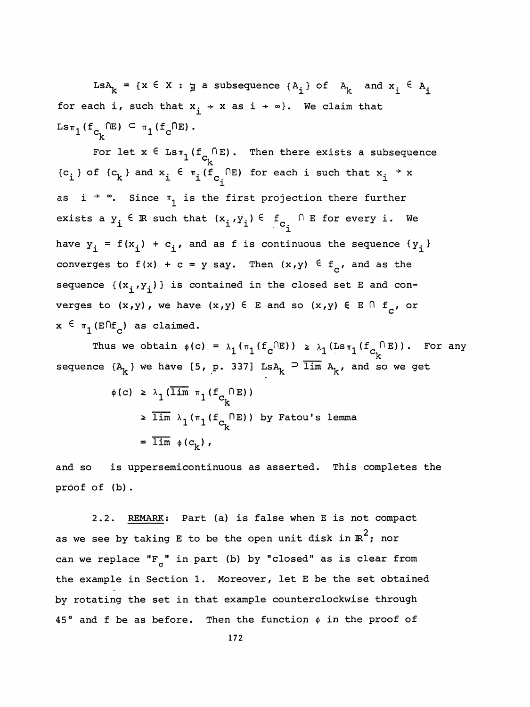LsA<sub>k</sub> = {x  $\in$  X :  $\sharp$  a subsequence {A<sub>1</sub>} of A<sub>k</sub> and  $x^i$   $\in$  A<sub>1</sub> for each i, such that  $x_i + x$  as  $i + \infty$ . We claim that  $\text{Ls}_{\pi_1}$  (f<sub>C<sub>1</sub></sub>  $\text{LE}$ ) c  $\pi_1$  (f<sub>C</sub> $\text{RE}$ ).

For let  $\mathrm{x} \, \in \, \mathtt{Lsr}_1(\mathrm{f}_\mathrm{C}^{\phantom{\dagger}} \cap \mathtt{E})$  . Then there exists a subsequence ck  ${c_i}$  of  ${c_k}$  and  $x_i \in \pi_i(f_{c_i} \cap E)$  for each i such that  $x_i \rightarrow x$ For let  $x \in \text{Lsr}_{1}(f_{C_{k}} \cap E)$ . Then there exists a sub<br>
i of  $\{c_{k}\}$  and  $x_{i} \in \pi_{i}(f_{C_{i}} \cap E)$  for each i such that  $x_{i}$ <br>  $i \to \infty$ . Since  $\pi_{i}$  is the first projection there furt { $c_i$ } of { $c_k$ } and  $x_i \in \pi_i(f_{c_i})$  for each i such that  $x_i \rightarrow x$ <br>as  $i \rightarrow \infty$ . Since  $\pi_1$  is the first projection there further<br>exists a y.  $\in \mathbb{R}$  such that  $(x_i, y_i) \in f_{c_i} \cap E$  for every i. We as i  $\rightarrow \infty$ . Since  $\pi_1$  is the first projection there further<br>exists a  $y^1$   $\in \mathbb{R}$  such that  $(x^1, y^1) \in \mathbb{R}$   $\cup$  E for every i. We exists a  $y_i \in \mathbb{R}$  such that  $(x_i, y_i) \in f_{c_i} \cap E$  for every i. We<br>have  $y_i = f(x_i) + c_i$ , and as f is continuous the sequence  $\{y_i\}$ <br>converges to  $f(x) + c = y$  say. Then  $(x, y) \in f$ , and as the converges to  $f(x) + c = y$  say. Then  $(x,y) \in f_c$ , and as the sequence  $\{(x^i,y^i)\}\)$  is contained in the closed set E and converges to  $(x,y)$ , we have  $(x,y) \in E$  and so  $(x,y) \in E \cap f_c$ , or  $x \in \pi_1(\text{E} \cap f_c)$  as claimed.

Thus we obtain  $\phi(c) = \lambda_1(\pi_1(f_c^C \cap E)) \geq \lambda_1(Ls\pi_1(f_{c_k}^C \cap E))$ . For any sequence  $\{A^k_k\}$  we have [5, p. 337] Ls $A^k_k \supseteq \overline{\lim}_{k \to \infty} A^k$ , and so we get

$$
\phi(c) \geq \lambda_1 (\overline{\lim} \pi_1(f_{C_k} \cap E))
$$
  
\n
$$
\geq \overline{\lim} \lambda_1(\pi_1(f_{C_k} \cap E)) \text{ by Fatou's lemma}
$$
  
\n
$$
= \overline{\lim} \phi(c_k),
$$

 and so is uppersemicontinuous as asserted. This completes the proof of (b) .

 2.2. REMARK: Part (a) is false when E is not compact as we see by taking E to be the open unit disk in  $\mathbb{R}^2$ ; nor can we replace " $F_{\sigma}$ " in part (b) by "closed" as is clear from the example in Section 1. Moreover, let E be the set obtained by rotating the set in that example counterclockwise through 45° and f be as before. Then the function  $\phi$  in the proof of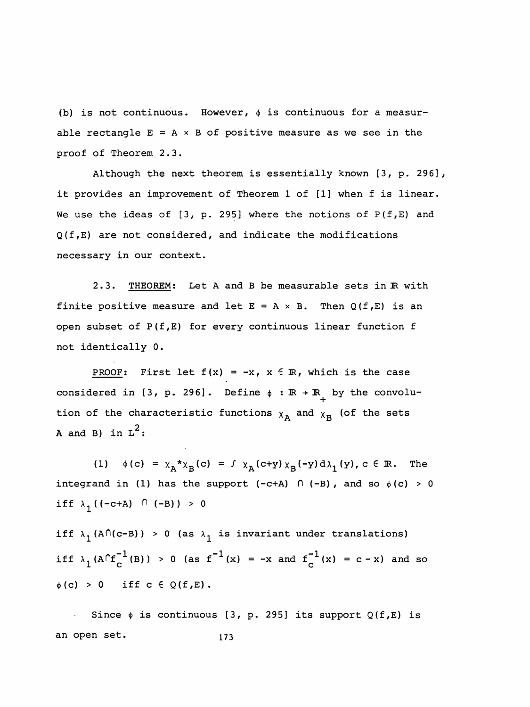(b) is not continuous. However,  $\phi$  is continuous for a measurable rectangle  $E = A \times B$  of positive measure as we see in the proof of Theorem 2.3.

 Although the next theorem is essentially known [3, p. 296], it provides an improvement of Theorem 1 of [1] when f is linear. We use the ideas of  $[3, p. 295]$  where the notions of  $P(f, E)$  and Q(f,E) are not considered, and indicate the modifications necessary in our context.

2.3. THEOREM: Let A and B be measurable sets in R with finite positive measure and let  $E = A \times B$ . Then  $Q(f, E)$  is an open subset of P(f,E) for every continuous linear function f not identically 0.

PROOF: First let  $f(x) = -x$ ,  $x \in \mathbb{R}$ , which is the case considered in [3, p. 296]. Define  $\phi : \mathbb{R} \to \mathbb{R}$  by the convolution of the characteristic functions  $x_A$  and  $x_B$  (of the sets A and B) in  $L^2$ :

(1)  $\phi(c) = \chi_A^* \chi_B(c) = f \chi_A(c+y) \chi_B(-y) d\lambda_1(y), c \in \mathbb{R}$ . integrand in (1) has the support (-c+A)  $\cap$  (-B), and so  $\phi(c) > 0$ iff  $\lambda_1$ ((-c+A)  $\cap$  (-B)) > 0

iff  $\lambda_1(A \cap (c-B)) > 0$  (as  $\lambda_1$  is invariant under translations) iff  $\lambda_1(A\cap f_C^{-1}(B)) > 0$  (as  $f^{-1}(x) = -x$  and  $f_C^{-1}(x) = c - x$ ) and so  $\phi(c) > 0$  iff  $c \in Q(f, E)$ .

Since  $\phi$  is continuous [3, p. 295] its support Q(f,E) is an open set. 173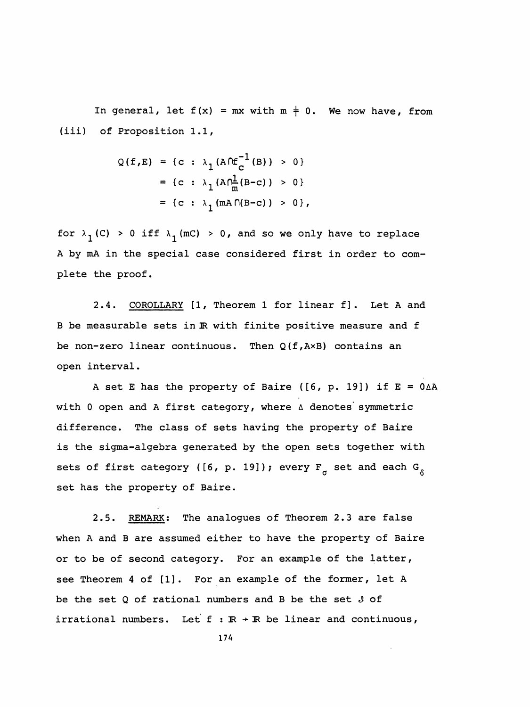In general, let  $f(x) = mx$  with  $m \neq 0$ . We now have, from (iii) of Proposition 1.1,

$$
Q(f, E) = \{c : \lambda_1 (A \cap f_C^{-1}(B)) > 0\}
$$
  
= \{c : \lambda\_1 (A \cap f\_R^{-1}(B-c)) > 0\}  
= \{c : \lambda\_1 (mA \cap (B-c)) > 0\},

for  $\lambda_1$  (C) > 0 iff  $\lambda_1$  (mC) > 0, and so we only have to replace A by mA in the special case considered first in order to com plete the proof.

2.4. COROLLARY [1, Theorem 1 for linear f]. Let A and B be measurable sets in IR with finite positive measure and f be non-zero linear continuous. Then  $Q(f, AxB)$  contains an open interval.

A set E has the property of Baire ( $[6, p. 19]$ ) if  $E = 0<sub>\Delta</sub>A$ with 0 open and A first category, where  $\triangle$  denotes symmetric difference. The class of sets having the property of Baire is the sigma-algebra generated by the open sets together with sets of first category ([6, p. 19]); every  $F_{\sigma}$  set and each  $G_{\delta}$ set has the property of Baire.

 2.5. REMARK; The analogues of Theorem 2.3 are false when A and B are assumed either to have the property of Baire or to be of second category. For an example of the latter, see Theorem 4 of [1] . For an example of the former, let A be the set Q of rational numbers and B be the set J of irrational numbers. Let  $f : \mathbb{R} \to \mathbb{R}$  be linear and continuous,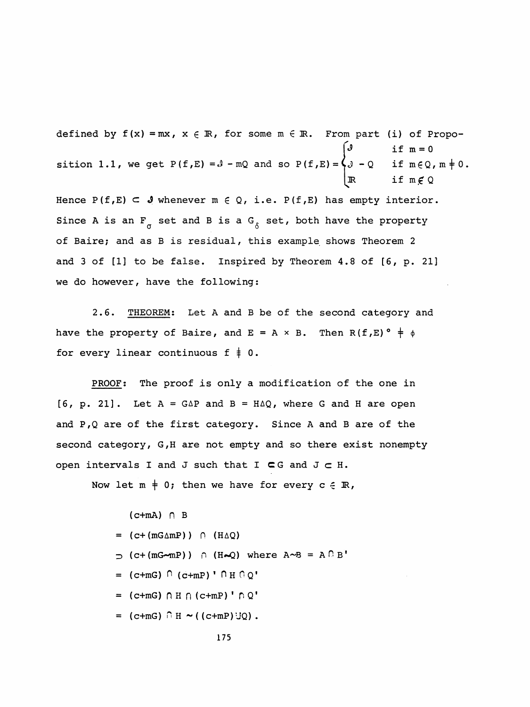defined by  $f(x) = mx$ ,  $x \in \mathbb{R}$ , for some  $m \in \mathbb{R}$ . From part (i) of Propo- $\int_0^{\infty}$  if  $m = 0$ sition 1.1, we get P(f,E) =  $3$  -mQ and so P(f,E) =  $\{$   $\}$  - Q  $\;$  if m $\in$  Q, m  $\neq$  0 .  $\mathbb{R}$  if  $m \notin Q$ Hence  $P(f, E) \subset \mathcal{S}$  whenever  $m \in Q$ , i.e.  $P(f, E)$  has empty interior. Since A is an  $F^{\alpha}_{\alpha}$  set and B is a  $G^{\alpha}_{\alpha}$  set, both have the property of Baire; and as B is residual, this example shows Theorem 2 and 3 of [1] to be false. Inspired by Theorem 4.8 of [6, p. 21] we do however, have the following:

 2.6. THEOREM: Let A and B be of the second category and have the property of Baire, and  $E = A \times B$ . Then  $R(f, E) \circ \frac{1}{f} \phi$ for every linear continuous  $f \neq 0$ .

PROOF: The proof is only a modification of the one in  $[6, p. 21]$ . Let  $A = G\Delta P$  and  $B = H\Delta Q$ , where G and H are open and P,Q are of the first category. Since A and B are of the second category, G,H are not empty and so there exist nonempty open intervals I and J such that I  $\subset$  G and J  $\subset$  H.

Now let  $m \neq 0$ ; then we have for every  $c \in \mathbb{R}$ ,

 $(c+mA)$   $\cap$  B  $=$  (c+ (mG $\triangle$ mP))  $\cap$  (H $\triangle$ Q)  $\supset$  (c+ (mG-mP))  $\cap$  (H-Q) where A-B = A  $\cap$  B'  $=$  (c+mG)  $\cap$  (c+mP) '  $\cap$  H  $\cap$  Q'  $=$  (c+mG)  $\cap$  H  $\cap$  (c+mP) ' $\cap$  Q'  $=$  (c+mG)  $\cap$  H  $\sim$  ((c+mP)UQ).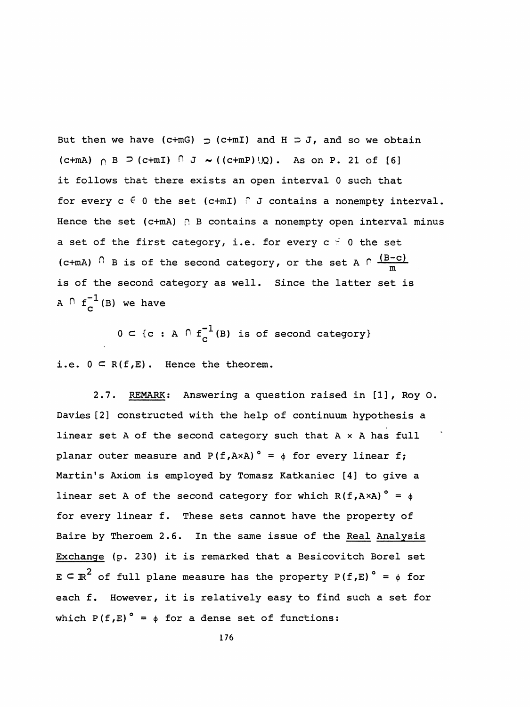But then we have (c+mG)  $\supset$  (c+mI) and H  $\supset$  J, and so we obtain (c+mA)  $\cap$  B  $\supset$  (c+mI)  $\cap$  J  $\sim$  ( (c+mP)  $\cup$ Q). As on P. 21 of [6] it follows that there exists an open interval 0 such that for every  $c \in 0$  the set (c+mI)  $\cap$  J contains a nonempty interval. Hence the set (c+mA)  $\cap$  B contains a nonempty open interval minus a set of the first category, i.e. for every  $c = 0$  the set (c+mA)  $\cap$  B is of the second category, or the set A  $\cap$   $(B-c)^{n}$  is of the second category as well. Since the latter set is A  $\cap$   $f^{-1}_c$  (B) we have

 $0 \subset \{c : A \cap f^{-1}_c(B) \text{ is of second category}\}$ 

i.e.  $0 \subset R(f, E)$ . Hence the theorem.

2.7. REMARK: Answering a question raised in [1], Roy 0. Davies [2] constructed with the help of continuum hypothesis a linear set A of the second category such that  $A \times A$  has full planar outer measure and  $P(f, AxA)$ <sup>o</sup> =  $\phi$  for every linear f; Martin's Axiom is employed by Tomasz Katkaniec [4] to give a linear set A of the second category for which  $R(f, A \times A)$ <sup>°</sup> =  $\phi$  for every linear f. These sets cannot have the property of Baire by Theroem 2.6. In the same issue of the Real Analysis Exchange (p. 230) it is remarked that a Besicovitch Borel set 2.7. REMARK: Answering a question raised in [1], Roy O.<br>Davies [2] constructed with the help of continuum hypothesis a<br>linear set A of the second category such that A × A has full<br>planar outer measure and  $P(f, AxA)° = \phi$  for each f. However, it is relatively easy to find such a set for which P(f,E)<sup>°</sup> =  $\phi$  for a dense set of functions: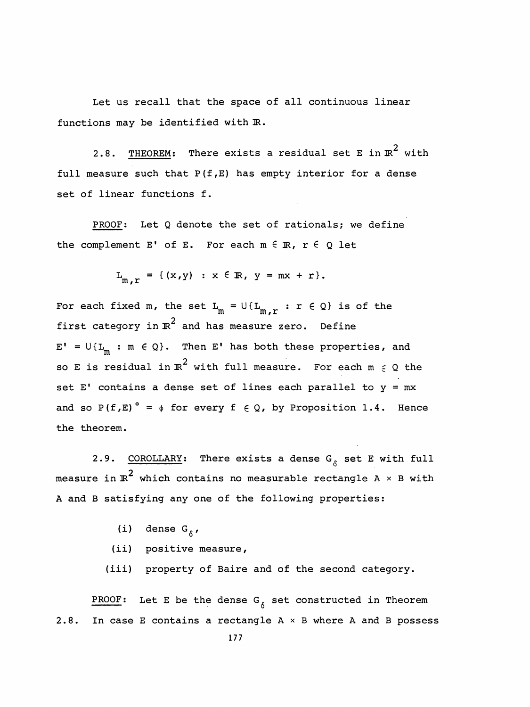Let us recall that the space of all continuous linear functions may be identified with  $\mathbb{R}$ .

2.8. <u>THEOREM</u>: There exists a residual set E in  $\mathbb{R}^2$  with full measure such that  $P(f, E)$  has empty interior for a dense set of linear functions f.

PROOF: Let Q denote the set of rationals; we define the complement E' of E. For each  $m \in \mathbb{R}$ ,  $r \in Q$  let

$$
L_{m,r} = \{(x,y) : x \in \mathbb{R}, y = mx + r\}.
$$

For each fixed m, the set  $L_m = U\{L_{m,r} : r \in Q\}$  is of the first category in  $\mathbb{R}^2$  and has measure zero. Define  $E' = U\{L_m : m \in Q\}$ . Then E' has both these properties, and so E is residual in  $\mathbb{R}^2$  with full measure. For each  $m \in \mathcal{Q}$  the set E' contains a dense set of lines each parallel to  $y = mx$ and so P(f,E)<sup>°</sup> =  $\phi$  for every f  $\in$  Q, by Proposition 1.4. Hence the theorem.

2.9. COROLLARY: There exists a dense G<sub>6</sub> set E with full  $\frac{\texttt{COROLLARY:}}{\texttt{2}}$  There exists a dense G<sub>8</sub> measure in  $\mathbb{R}^2$  which contains no measurable rectangle A  $\times$  B with A and B satisfying any one of the following properties:

- (i) dense G $_{\delta}$ ,
- (ii) positive measure,

(iii) property of Baire and of the second category.

PROOF: Let E be the dense  $G_{\kappa}$  set constructed in Theorem 2.8. In case E contains a rectangle  $A \times B$  where A and B possess